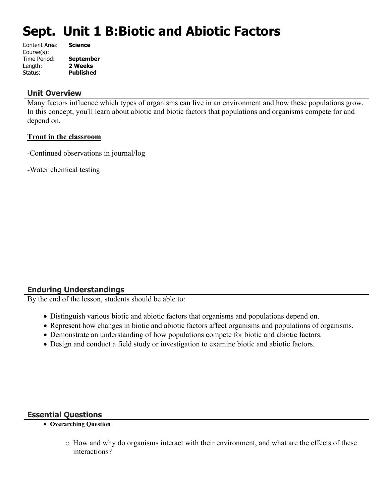# **Sept. Unit 1 B:Biotic and Abiotic Factors**

| Content Area: | <b>Science</b>   |
|---------------|------------------|
| Course(s):    |                  |
| Time Period:  | <b>September</b> |
| Length:       | 2 Weeks          |
| Status:       | <b>Published</b> |
|               |                  |

### **Unit Overview**

Many factors influence which types of organisms can live in an environment and how these populations grow. In this concept, you'll learn about abiotic and biotic factors that populations and organisms compete for and depend on.

#### **Trout in the classroom**

-Continued observations in journal/log

-Water chemical testing

## **Enduring Understandings**

By the end of the lesson, students should be able to:

- Distinguish various biotic and abiotic factors that organisms and populations depend on.
- Represent how changes in biotic and abiotic factors affect organisms and populations of organisms.
- Demonstrate an understanding of how populations compete for biotic and abiotic factors.
- Design and conduct a field study or investigation to examine biotic and abiotic factors.

#### **Essential Questions**

- **Overarching Question**
	- o How and why do organisms interact with their environment, and what are the effects of these interactions?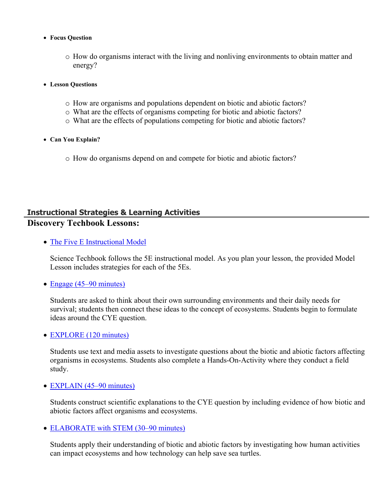- **Focus Question**
	- o How do organisms interact with the living and nonliving environments to obtain matter and energy?
- **Lesson Questions**
	- o How are organisms and populations dependent on biotic and abiotic factors?
	- o What are the effects of organisms competing for biotic and abiotic factors?
	- o What are the effects of populations competing for biotic and abiotic factors?
- **Can You Explain?**
	- o How do organisms depend on and compete for biotic and abiotic factors?

# **Instructional Strategies & Learning Activities Discovery Techbook Lessons:**

• [The Five E Instructional Model](https://app.discoveryeducation.com/learn/techbook/units/f8b0240e-a0f3-49a5-81e7-d1019d3ec115/concepts/622b4656-7e59-4e34-8920-94716e33ddbc/lesson/sections/233e1b6d-5ad0-4856-afe7-125f074d800f#0b9d7ec7-ceb3-4ea2-91b3-66025eb360a5)

Science Techbook follows the 5E instructional model. As you plan your lesson, the provided Model Lesson includes strategies for each of the 5Es.

• [Engage \(45–90 minutes\)](https://app.discoveryeducation.com/learn/techbook/units/f8b0240e-a0f3-49a5-81e7-d1019d3ec115/concepts/622b4656-7e59-4e34-8920-94716e33ddbc/lesson/sections/233e1b6d-5ad0-4856-afe7-125f074d800f#7e573179-0254-4cf0-8242-c32382cc3789)

Students are asked to think about their own surrounding environments and their daily needs for survival; students then connect these ideas to the concept of ecosystems. Students begin to formulate ideas around the CYE question.

• [EXPLORE \(120 minutes\)](https://app.discoveryeducation.com/learn/techbook/units/f8b0240e-a0f3-49a5-81e7-d1019d3ec115/concepts/622b4656-7e59-4e34-8920-94716e33ddbc/lesson/sections/233e1b6d-5ad0-4856-afe7-125f074d800f#bd7a4398-f979-42f9-a43f-777e56774d34)

Students use text and media assets to investigate questions about the biotic and abiotic factors affecting organisms in ecosystems. Students also complete a Hands-On-Activity where they conduct a field study.

• [EXPLAIN \(45–90 minutes\)](https://app.discoveryeducation.com/learn/techbook/units/f8b0240e-a0f3-49a5-81e7-d1019d3ec115/concepts/622b4656-7e59-4e34-8920-94716e33ddbc/lesson/sections/233e1b6d-5ad0-4856-afe7-125f074d800f#e7753799-2dff-4294-8186-906263a1d855)

Students construct scientific explanations to the CYE question by including evidence of how biotic and abiotic factors affect organisms and ecosystems.

• [ELABORATE with STEM \(30–90 minutes\)](https://app.discoveryeducation.com/learn/techbook/units/f8b0240e-a0f3-49a5-81e7-d1019d3ec115/concepts/622b4656-7e59-4e34-8920-94716e33ddbc/lesson/sections/233e1b6d-5ad0-4856-afe7-125f074d800f#d531259f-c14a-4ead-a4c9-2efdaef3832d)

Students apply their understanding of biotic and abiotic factors by investigating how human activities can impact ecosystems and how technology can help save sea turtles.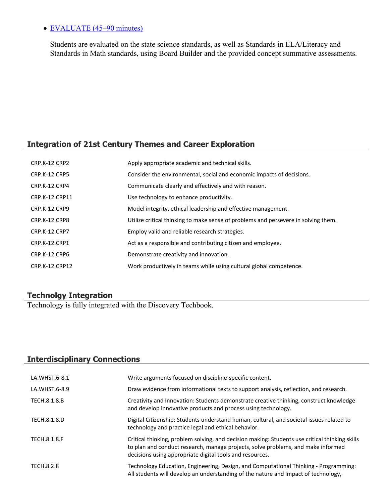# • **EVALUATE** (45–90 minutes)

Students are evaluated on the state science standards, as well as Standards in ELA/Literacy and Standards in Math standards, using Board Builder and the provided concept summative assessments.

# **Integration of 21st Century Themes and Career Exploration**

| CRP.K-12.CRP2        | Apply appropriate academic and technical skills.                                   |
|----------------------|------------------------------------------------------------------------------------|
| <b>CRP.K-12.CRP5</b> | Consider the environmental, social and economic impacts of decisions.              |
| CRP.K-12.CRP4        | Communicate clearly and effectively and with reason.                               |
| CRP.K-12.CRP11       | Use technology to enhance productivity.                                            |
| CRP.K-12.CRP9        | Model integrity, ethical leadership and effective management.                      |
| CRP.K-12.CRP8        | Utilize critical thinking to make sense of problems and persevere in solving them. |
| <b>CRP.K-12.CRP7</b> | Employ valid and reliable research strategies.                                     |
| CRP.K-12.CRP1        | Act as a responsible and contributing citizen and employee.                        |
| CRP.K-12.CRP6        | Demonstrate creativity and innovation.                                             |
| CRP.K-12.CRP12       | Work productively in teams while using cultural global competence.                 |

# **Technolgy Integration**

Technology is fully integrated with the Discovery Techbook.

# **Interdisciplinary Connections**

| LA.WHST.6-8.1       | Write arguments focused on discipline-specific content.                                                                                                                                                                                        |
|---------------------|------------------------------------------------------------------------------------------------------------------------------------------------------------------------------------------------------------------------------------------------|
| LA.WHST.6-8.9       | Draw evidence from informational texts to support analysis, reflection, and research.                                                                                                                                                          |
| TECH.8.1.8.B        | Creativity and Innovation: Students demonstrate creative thinking, construct knowledge<br>and develop innovative products and process using technology.                                                                                        |
| TECH.8.1.8.D        | Digital Citizenship: Students understand human, cultural, and societal issues related to<br>technology and practice legal and ethical behavior.                                                                                                |
| <b>TECH.8.1.8.F</b> | Critical thinking, problem solving, and decision making: Students use critical thinking skills<br>to plan and conduct research, manage projects, solve problems, and make informed<br>decisions using appropriate digital tools and resources. |
| TECH.8.2.8          | Technology Education, Engineering, Design, and Computational Thinking - Programming:<br>All students will develop an understanding of the nature and impact of technology,                                                                     |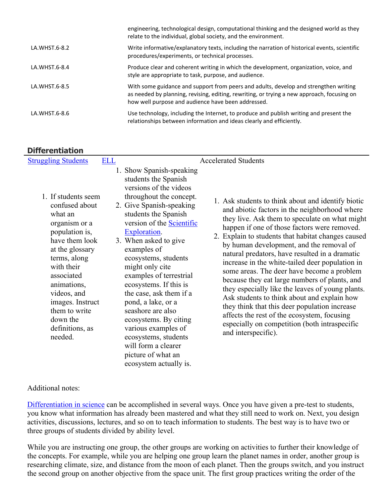|               | engineering, technological design, computational thinking and the designed world as they<br>relate to the individual, global society, and the environment.                                                                               |
|---------------|------------------------------------------------------------------------------------------------------------------------------------------------------------------------------------------------------------------------------------------|
| LA.WHST.6-8.2 | Write informative/explanatory texts, including the narration of historical events, scientific<br>procedures/experiments, or technical processes.                                                                                         |
| LA.WHST.6-8.4 | Produce clear and coherent writing in which the development, organization, voice, and<br>style are appropriate to task, purpose, and audience.                                                                                           |
| LA.WHST.6-8.5 | With some guidance and support from peers and adults, develop and strengthen writing<br>as needed by planning, revising, editing, rewriting, or trying a new approach, focusing on<br>how well purpose and audience have been addressed. |
| LA.WHST.6-8.6 | Use technology, including the Internet, to produce and publish writing and present the<br>relationships between information and ideas clearly and efficiently.                                                                           |

# **Differentiation**

| <b>Struggling Students</b>                                                                                                                                                                                                                                                        | <b>ELL</b> |                                                                                                                                                                                                                                                                                                                                                                                                                                                                                                                                                                            | <b>Accelerated Students</b>                                                                                                                                                                                                                                                                                                                                                                                                                                                                                                                                                                                                                                                                                                                                                            |
|-----------------------------------------------------------------------------------------------------------------------------------------------------------------------------------------------------------------------------------------------------------------------------------|------------|----------------------------------------------------------------------------------------------------------------------------------------------------------------------------------------------------------------------------------------------------------------------------------------------------------------------------------------------------------------------------------------------------------------------------------------------------------------------------------------------------------------------------------------------------------------------------|----------------------------------------------------------------------------------------------------------------------------------------------------------------------------------------------------------------------------------------------------------------------------------------------------------------------------------------------------------------------------------------------------------------------------------------------------------------------------------------------------------------------------------------------------------------------------------------------------------------------------------------------------------------------------------------------------------------------------------------------------------------------------------------|
| 1. If students seem<br>confused about<br>what an<br>organism or a<br>population is,<br>have them look<br>at the glossary<br>terms, along<br>with their<br>associated<br>animations,<br>videos, and<br>images. Instruct<br>them to write<br>down the<br>definitions, as<br>needed. |            | 1. Show Spanish-speaking<br>students the Spanish<br>versions of the videos<br>throughout the concept.<br>2. Give Spanish-speaking<br>students the Spanish<br>version of the <b>Scientific</b><br>Exploration.<br>3. When asked to give<br>examples of<br>ecosystems, students<br>might only cite<br>examples of terrestrial<br>ecosystems. If this is<br>the case, ask them if a<br>pond, a lake, or a<br>seashore are also<br>ecosystems. By citing<br>various examples of<br>ecosystems, students<br>will form a clearer<br>picture of what an<br>ecosystem actually is. | 1. Ask students to think about and identify biotic<br>and abiotic factors in the neighborhood where<br>they live. Ask them to speculate on what might<br>happen if one of those factors were removed.<br>2. Explain to students that habitat changes caused<br>by human development, and the removal of<br>natural predators, have resulted in a dramatic<br>increase in the white-tailed deer population in<br>some areas. The deer have become a problem<br>because they eat large numbers of plants, and<br>they especially like the leaves of young plants.<br>Ask students to think about and explain how<br>they think that this deer population increase<br>affects the rest of the ecosystem, focusing<br>especially on competition (both intraspecific<br>and interspecific). |

## Additional notes:

[Differentiation in science](http://www.brighthubeducation.com/teaching-gifted-students/65181-differentiation-techniques-and-activities-in-the-classroom-for-gifted-students/) can be accomplished in several ways. Once you have given a pre-test to students, you know what information has already been mastered and what they still need to work on. Next, you design activities, discussions, lectures, and so on to teach information to students. The best way is to have two or three groups of students divided by ability level.

While you are instructing one group, the other groups are working on activities to further their knowledge of the concepts. For example, while you are helping one group learn the planet names in order, another group is researching climate, size, and distance from the moon of each planet. Then the groups switch, and you instruct the second group on another objective from the space unit. The first group practices writing the order of the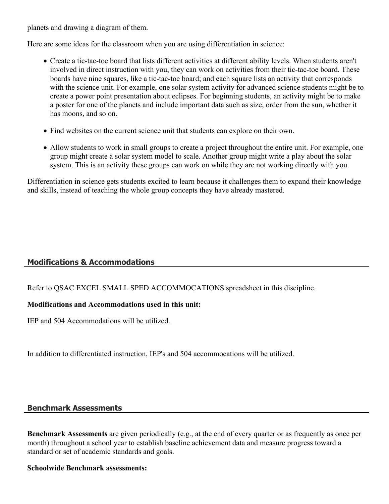planets and drawing a diagram of them.

Here are some ideas for the classroom when you are using differentiation in science:

- Create a tic-tac-toe board that lists different activities at different ability levels. When students aren't involved in direct instruction with you, they can work on activities from their tic-tac-toe board. These boards have nine squares, like a tic-tac-toe board; and each square lists an activity that corresponds with the science unit. For example, one solar system activity for advanced science students might be to create a power point presentation about eclipses. For beginning students, an activity might be to make a poster for one of the planets and include important data such as size, order from the sun, whether it has moons, and so on.
- Find websites on the current science unit that students can explore on their own.
- Allow students to work in small groups to create a project throughout the entire unit. For example, one group might create a solar system model to scale. Another group might write a play about the solar system. This is an activity these groups can work on while they are not working directly with you.

Differentiation in science gets students excited to learn because it challenges them to expand their knowledge and skills, instead of teaching the whole group concepts they have already mastered.

# **Modifications & Accommodations**

Refer to QSAC EXCEL SMALL SPED ACCOMMOCATIONS spreadsheet in this discipline.

## **Modifications and Accommodations used in this unit:**

IEP and 504 Accommodations will be utilized.

In addition to differentiated instruction, IEP's and 504 accommocations will be utilized.

## **Benchmark Assessments**

**Benchmark Assessments** are given periodically (e.g., at the end of every quarter or as frequently as once per month) throughout a school year to establish baseline achievement data and measure progress toward a standard or set of academic standards and goals.

#### **Schoolwide Benchmark assessments:**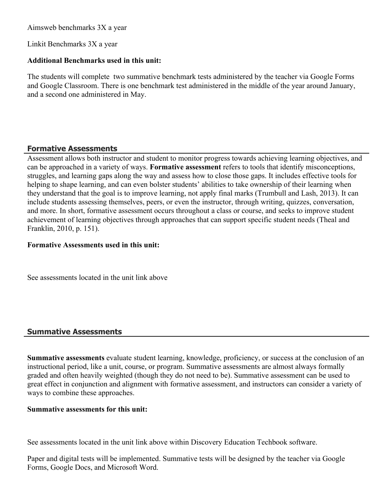Aimsweb benchmarks 3X a year

Linkit Benchmarks 3X a year

### **Additional Benchmarks used in this unit:**

The students will complete two summative benchmark tests administered by the teacher via Google Forms and Google Classroom. There is one benchmark test administered in the middle of the year around January, and a second one administered in May.

# **Formative Assessments**

Assessment allows both instructor and student to monitor progress towards achieving learning objectives, and can be approached in a variety of ways. **Formative assessment** refers to tools that identify misconceptions, struggles, and learning gaps along the way and assess how to close those gaps. It includes effective tools for helping to shape learning, and can even bolster students' abilities to take ownership of their learning when they understand that the goal is to improve learning, not apply final marks (Trumbull and Lash, 2013). It can include students assessing themselves, peers, or even the instructor, through writing, quizzes, conversation, and more. In short, formative assessment occurs throughout a class or course, and seeks to improve student achievement of learning objectives through approaches that can support specific student needs (Theal and Franklin, 2010, p. 151).

### **Formative Assessments used in this unit:**

See assessments located in the unit link above

# **Summative Assessments**

**Summative assessments** evaluate student learning, knowledge, proficiency, or success at the conclusion of an instructional period, like a unit, course, or program. Summative assessments are almost always formally graded and often heavily weighted (though they do not need to be). Summative assessment can be used to great effect in conjunction and alignment with formative assessment, and instructors can consider a variety of ways to combine these approaches.

## **Summative assessments for this unit:**

See assessments located in the unit link above within Discovery Education Techbook software.

Paper and digital tests will be implemented. Summative tests will be designed by the teacher via Google Forms, Google Docs, and Microsoft Word.